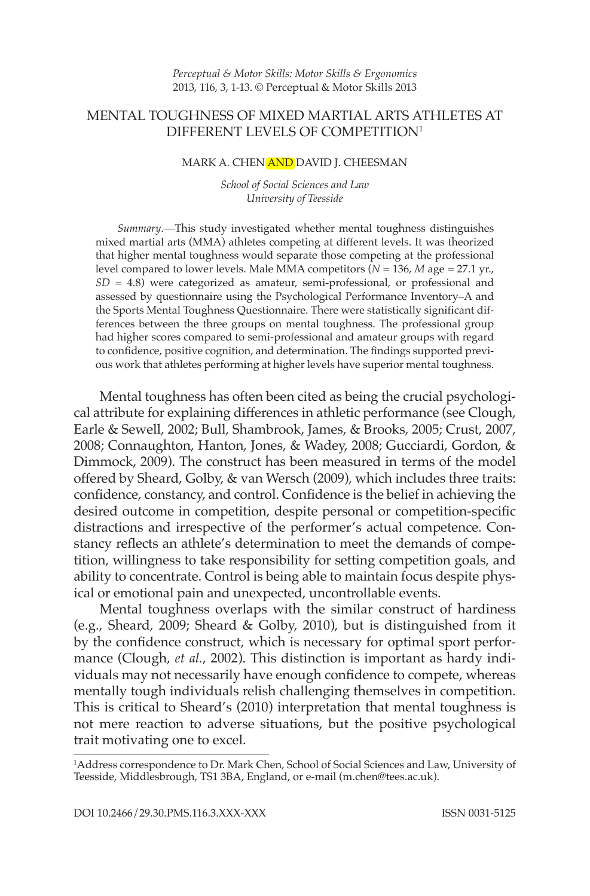# MENTAL TOUGHNESS OF MIXED MARTIAL ARTS ATHLETES AT DIFFERENT LEVELS OF COMPETITION1

#### MARK A. CHEN AND DAVID J. CHEESMAN

*School of Social Sciences and Law University of Teesside* 

*S ummary*.—This study investigated whether mental toughness distinguishes mixed martial arts (MMA) athletes competing at different levels. It was theorized that higher mental toughness would separate those competing at the professional level compared to lower levels. Male MMA competitors (*N* = 136, *M* age = 27.1 yr.,  $SD = 4.8$ ) were categorized as amateur, semi-professional, or professional and assessed by questionnaire using the Psychological Performance Inventory–A and the Sports Mental Toughness Questionnaire. There were statistically significant differences between the three groups on mental toughness. The professional group had higher scores compared to semi-professional and amateur groups with regard to confidence, positive cognition, and determination. The findings supported previous work that athletes performing at higher levels have superior mental toughness.

Mental toughness has often been cited as being the crucial psychological attribute for explaining differences in athletic performance (see Clough, Earle & Sewell, 2002; Bull, Shambrook, James, & Brooks, 2005; Crust, 2007, 2008; Connaughton, Hanton, Jones, & Wadey, 2008; Gucciardi, Gordon, & Dimmock, 2009). The construct has been measured in terms of the model offered by Sheard, Golby, & van Wersch (2009), which includes three traits: confidence, constancy, and control. Confidence is the belief in achieving the desired outcome in competition, despite personal or competition-specific distractions and irrespective of the performer's actual competence. Constancy reflects an athlete's determination to meet the demands of competition, willingness to take responsibility for setting competition goals, and ability to concentrate. Control is being able to maintain focus despite physical or emotional pain and unexpected, uncontrollable events.

Mental toughness overlaps with the similar construct of hardiness (e.g., Sheard, 2009; Sheard & Golby, 2010), but is distinguished from it by the confidence construct, which is necessary for optimal sport performance (Clough, *et al.*, 2002). This distinction is important as hardy individuals may not necessarily have enough confidence to compete, whereas mentally tough individuals relish challenging themselves in competition. This is critical to Sheard's (2010) interpretation that mental toughness is not mere reaction to adverse situations, but the positive psychological trait motivating one to excel.

<sup>1</sup> Address correspondence to Dr. Mark Chen, School of Social Sciences and Law, University of Teesside, Middlesbrough, TS1 3BA, England, or e-mail (m.chen@tees.ac.uk).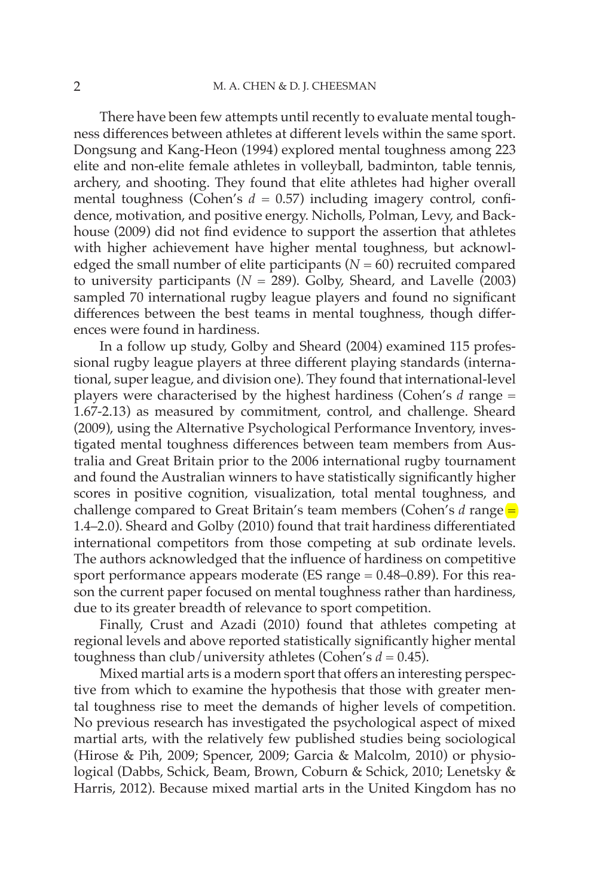There have been few attempts until recently to evaluate mental toughness differences between athletes at different levels within the same sport. Dongsung and Kang-Heon (1994) explored mental toughness among 223 elite and non-elite female athletes in volleyball, badminton, table tennis, archery, and shooting. They found that elite athletes had higher overall mental toughness (Cohen's  $d = 0.57$ ) including imagery control, confidence, motivation, and positive energy. Nicholls, Polman, Levy, and Backhouse (2009) did not find evidence to support the assertion that athletes with higher achievement have higher mental toughness, but acknowledged the small number of elite participants  $(N = 60)$  recruited compared to university participants ( $N = 289$ ). Golby, Sheard, and Lavelle (2003) sampled 70 international rugby league players and found no significant differences between the best teams in mental toughness, though differences were found in hardiness.

In a follow up study, Golby and Sheard (2004) examined 115 professional rugby league players at three different playing standards (international, super league, and division one). They found that international-level players were characterised by the highest hardiness (Cohen's *d* range = 1.67-2.13) as measured by commitment, control, and challenge. Sheard (2009), using the Alternative Psychological Performance Inventory, investigated mental toughness differences between team members from Australia and Great Britain prior to the 2006 international rugby tournament and found the Australian winners to have statistically significantly higher scores in positive cognition, visualization, total mental toughness, and challenge compared to Great Britain's team members (Cohen's *d* range = 1.4–2.0). Sheard and Golby (2010) found that trait hardiness differentiated international competitors from those competing at sub ordinate levels. The authors acknowledged that the influence of hardiness on competitive sport performance appears moderate (ES range  $= 0.48 - 0.89$ ). For this reason the current paper focused on mental toughness rather than hardiness, due to its greater breadth of relevance to sport competition.

Finally, Crust and Azadi (2010) found that athletes competing at regional levels and above reported statistically significantly higher mental toughness than club/university athletes (Cohen's  $d = 0.45$ ).

Mixed martial arts is a modern sport that offers an interesting perspective from which to examine the hypothesis that those with greater mental toughness rise to meet the demands of higher levels of competition. No previous research has investigated the psychological aspect of mixed martial arts, with the relatively few published studies being sociological (Hirose & Pih, 2009; Spencer, 2009; Garcia & Malcolm, 2010) or physiological (Dabbs, Schick, Beam, Brown, Coburn & Schick, 2010; Lenetsky & Harris, 2012). Because mixed martial arts in the United Kingdom has no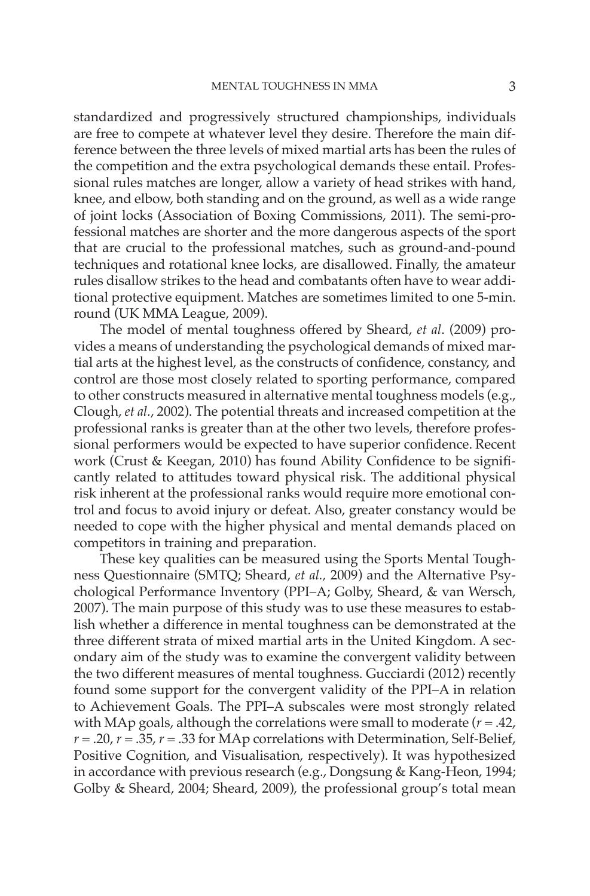standardized and progressively structured championships, individuals are free to compete at whatever level they desire. Therefore the main difference between the three levels of mixed martial arts has been the rules of the competition and the extra psychological demands these entail. Professional rules matches are longer, allow a variety of head strikes with hand, knee, and elbow, both standing and on the ground, as well as a wide range of joint locks (Association of Boxing Commissions, 2011). The semi-professional matches are shorter and the more dangerous aspects of the sport that are crucial to the professional matches, such as ground-and-pound techniques and rotational knee locks, are disallowed. Finally, the amateur rules disallow strikes to the head and combatants often have to wear additional protective equipment. Matches are sometimes limited to one 5-min. round (UK MMA League, 2009).

The model of mental toughness offered by Sheard, *et al.* (2009) provides a means of understanding the psychological demands of mixed martial arts at the highest level, as the constructs of confidence, constancy, and control are those most closely related to sporting performance, compared to other constructs measured in alternative mental toughness models (e.g., Clough, *et al.*, 2002). The potential threats and increased competition at the professional ranks is greater than at the other two levels, therefore professional performers would be expected to have superior confidence. Recent work (Crust & Keegan, 2010) has found Ability Confidence to be significantly related to attitudes toward physical risk. The additional physical risk inherent at the professional ranks would require more emotional control and focus to avoid injury or defeat. Also, greater constancy would be needed to cope with the higher physical and mental demands placed on competitors in training and preparation.

These key qualities can be measured using the Sports Mental Toughness Questionnaire (SMTQ; Sheard, *et al.,* 2009) and the Alternative Psychological Performance Inventory (PPI–A; Golby, Sheard, & van Wersch, 2007). The main purpose of this study was to use these measures to establish whether a difference in mental toughness can be demonstrated at the three different strata of mixed martial arts in the United Kingdom. A secondary aim of the study was to examine the convergent validity between the two different measures of mental toughness. Gucciardi (2012) recently found some support for the convergent validity of the PPI–A in relation to Achievement Goals. The PPI–A subscales were most strongly related with MAp goals, although the correlations were small to moderate (*r* = .42,  $r = .20$ ,  $r = .35$ ,  $r = .33$  for MAp correlations with Determination, Self-Belief, Positive Cognition, and Visualisation, respectively). It was hypothesized in accordance with previous research (e.g., Dongsung & Kang-Heon, 1994; Golby & Sheard, 2004; Sheard, 2009), the professional group's total mean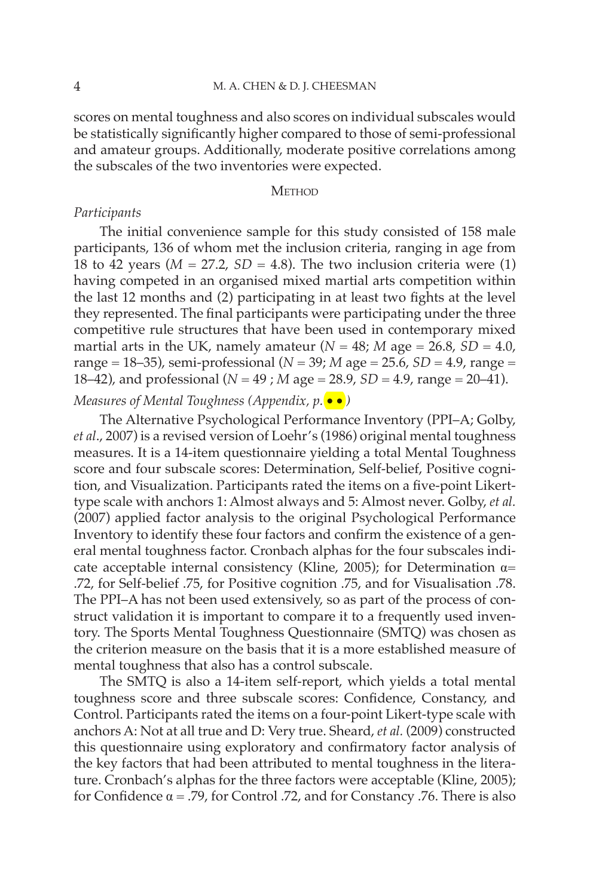scores on mental toughness and also scores on individual subscales would be statistically significantly higher compared to those of semi-professional and amateur groups. Additionally, moderate positive correlations among the subscales of the two inventories were expected.

### **METHOD**

# *Participants*

The initial convenience sample for this study consisted of 158 male participants, 136 of whom met the inclusion criteria, ranging in age from 18 to 42 years  $(M = 27.2, SD = 4.8)$ . The two inclusion criteria were (1) having competed in an organised mixed martial arts competition within the last 12 months and (2) participating in at least two fights at the level they represented. The final participants were participating under the three competitive rule structures that have been used in contemporary mixed martial arts in the UK, namely amateur  $(N = 48; M)$  age  $= 26.8$ ,  $SD = 4.0$ , range =  $18-35$ ), semi-professional ( $N = 39$ ;  $M$  age =  $25.6$ ,  $SD = 4.9$ , range = 18–42), and professional (*N* = 49 ; *M* age = 28.9, *SD* = 4.9, range = 20–41).

# *Measures of Mental Toughness (Appendix, p.* •• *)*

The Alternative Psychological Performance Inventory (PPI–A; Golby, *et al*., 2007) is a revised version of Loehr's (1986) original mental toughness measures. It is a 14-item questionnaire yielding a total Mental Toughness score and four subscale scores: Determination, Self-belief, Positive cognition, and Visualization. Participants rated the items on a five-point Likerttype scale with anchors 1: Almost always and 5: Almost never. Golby, *et al.* (2007) applied factor analysis to the original Psychological Performance Inventory to identify these four factors and confirm the existence of a general mental toughness factor. Cronbach alphas for the four subscales indicate acceptable internal consistency (Kline, 2005); for Determination  $\alpha$ = .72, for Self-belief .75, for Positive cognition .75, and for Visualisation .78. The PPI–A has not been used extensively, so as part of the process of construct validation it is important to compare it to a frequently used inventory. The Sports Mental Toughness Questionnaire (SMTQ) was chosen as the criterion measure on the basis that it is a more established measure of mental toughness that also has a control subscale.

The SMTQ is also a 14-item self-report, which yields a total mental toughness score and three subscale scores: Confidence, Constancy, and Control. Participants rated the items on a four-point Likert-type scale with anchors A: Not at all true and D: Very true. Sheard, *et al.* (2009) constructed this questionnaire using exploratory and confirmatory factor analysis of the key factors that had been attributed to mental toughness in the literature. Cronbach's alphas for the three factors were acceptable (Kline, 2005); for Confidence  $\alpha$  = .79, for Control .72, and for Constancy .76. There is also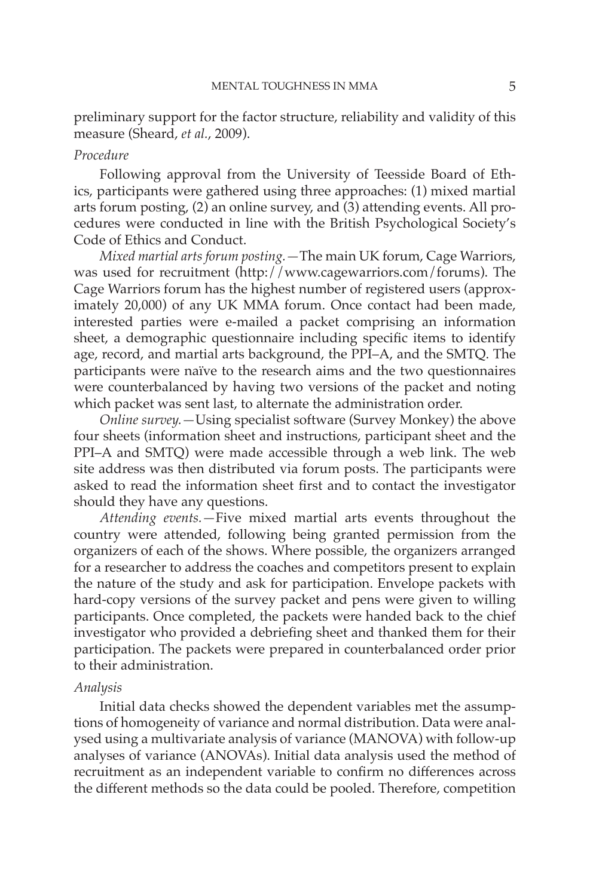preliminary support for the factor structure, reliability and validity of this measure (Sheard, *et al.*, 2009).

### *Procedure*

Following approval from the University of Teesside Board of Ethics, participants were gathered using three approaches: (1) mixed martial arts forum posting, (2) an online survey, and (3) attending events. All procedures were conducted in line with the British Psychological Society's Code of Ethics and Conduct.

*Mixed martial arts forum posting.—*The main UK forum, Cage Warriors, was used for recruitment (http://www.cagewarriors.com/forums). The Cage Warriors forum has the highest number of registered users (approximately 20,000) of any UK MMA forum. Once contact had been made, interested parties were e-mailed a packet comprising an information sheet, a demographic questionnaire including specific items to identify age, record, and martial arts background, the PPI–A, and the SMTQ. The participants were naïve to the research aims and the two questionnaires were counterbalanced by having two versions of the packet and noting which packet was sent last, to alternate the administration order.

*Online survey.—*Using specialist software (Survey Monkey) the above four sheets (information sheet and instructions, participant sheet and the PPI–A and SMTQ) were made accessible through a web link. The web site address was then distributed via forum posts. The participants were asked to read the information sheet first and to contact the investigator should they have any questions.

*Attending events.—*Five mixed martial arts events throughout the country were attended, following being granted permission from the organizers of each of the shows. Where possible, the organizers arranged for a researcher to address the coaches and competitors present to explain the nature of the study and ask for participation. Envelope packets with hard-copy versions of the survey packet and pens were given to willing participants. Once completed, the packets were handed back to the chief investigator who provided a debriefing sheet and thanked them for their participation. The packets were prepared in counterbalanced order prior to their administration.

#### *Analysis*

Initial data checks showed the dependent variables met the assumptions of homogeneity of variance and normal distribution. Data were analysed using a multivariate analysis of variance (MANOVA) with follow-up analyses of variance (ANOVAs). Initial data analysis used the method of recruitment as an independent variable to confirm no differences across the different methods so the data could be pooled. Therefore, competition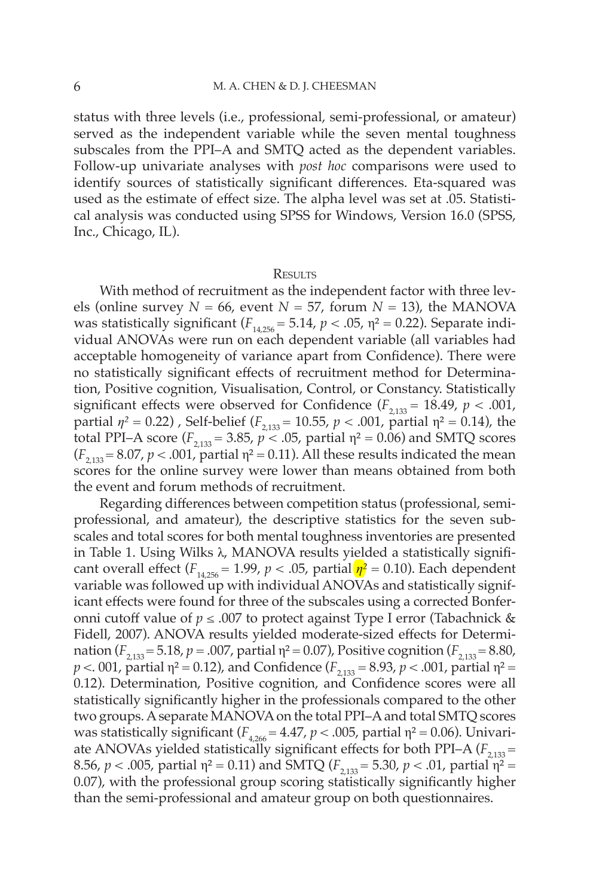status with three levels (i.e., professional, semi-professional, or amateur) served as the independent variable while the seven mental toughness subscales from the PPI–A and SMTQ acted as the dependent variables. Follow-up univariate analyses with *post hoc* comparisons were used to identify sources of statistically significant differences. Eta-squared was used as the estimate of effect size. The alpha level was set at .05. Statistical analysis was conducted using SPSS for Windows, Version 16.0 (SPSS, Inc., Chicago, IL).

#### **RESULTS**

With method of recruitment as the independent factor with three levels (online survey  $N = 66$ , event  $N = 57$ , forum  $N = 13$ ), the MANOVA was statistically significant  $(F_{14,256} = 5.14, p < .05, \eta^2 = 0.22)$ . Separate individual ANOVAs were run on each dependent variable (all variables had acceptable homogeneity of variance apart from Confidence). There were no statistically significant effects of recruitment method for Determination, Positive cognition, Visualisation, Control, or Constancy. Statistically significant effects were observed for Confidence  $(F_{2,133} = 18.49, p < .001,$ partial  $η<sup>2</sup> = 0.22$ ), Self-belief ( $F<sub>2,133</sub> = 10.55$ ,  $p < .001$ , partial η<sup>2</sup> = 0.14), the total PPI–A score ( $F_{2,133}$  = 3.85,  $p \le 0.05$ , partial η<sup>2</sup> = 0.06) and SMTQ scores  $(F_{2,133} = 8.07, p < .001,$  partial  $\eta^2 = 0.11$ ). All these results indicated the mean scores for the online survey were lower than means obtained from both the event and forum methods of recruitment.

Regarding differences between competition status (professional, semiprofessional, and amateur), the descriptive statistics for the seven subscales and total scores for both mental toughness inventories are presented in Table 1. Using Wilks λ, MANOVA results yielded a statistically significant overall effect ( $F_{14,256}$  = 1.99,  $p < .05$ , partial  $\eta^2$  = 0.10). Each dependent variable was followed up with individual ANOVAs and statistically significant effects were found for three of the subscales using a corrected Bonferonni cutoff value of *p* ≤ .007 to protect against Type I error (Tabachnick & Fidell, 2007). ANOVA results yielded moderate-sized effects for Determination ( $F_{2,133}$  = 5.18,  $p = .007$ , partial  $\eta^2 = 0.07$ ), Positive cognition ( $F_{2,133}$  = 8.80, *p* < 001, partial  $\eta^2 = 0.12$ ), and Confidence ( $F_{2,133} = 8.93$ , *p* < 001, partial  $\eta^2 =$ 0.12). Determination, Positive cognition, and Confidence scores were all statistically significantly higher in the professionals compared to the other two groups. A separate MANOVA on the total PPI–A and total SMTQ scores was statistically significant ( $F_{4,266} = 4.47$ ,  $p < .005$ , partial  $\eta^2 = 0.06$ ). Univariate ANOVAs yielded statistically significant effects for both PPI–A  $(F_{2,133} =$ 8.56,  $p < .005$ , partial  $\eta^2 = 0.11$ ) and SMTQ ( $F_{2,133} = 5.30$ ,  $p < .01$ , partial  $\eta^2 =$ 0.07), with the professional group scoring statistically significantly higher than the semi-professional and amateur group on both questionnaires.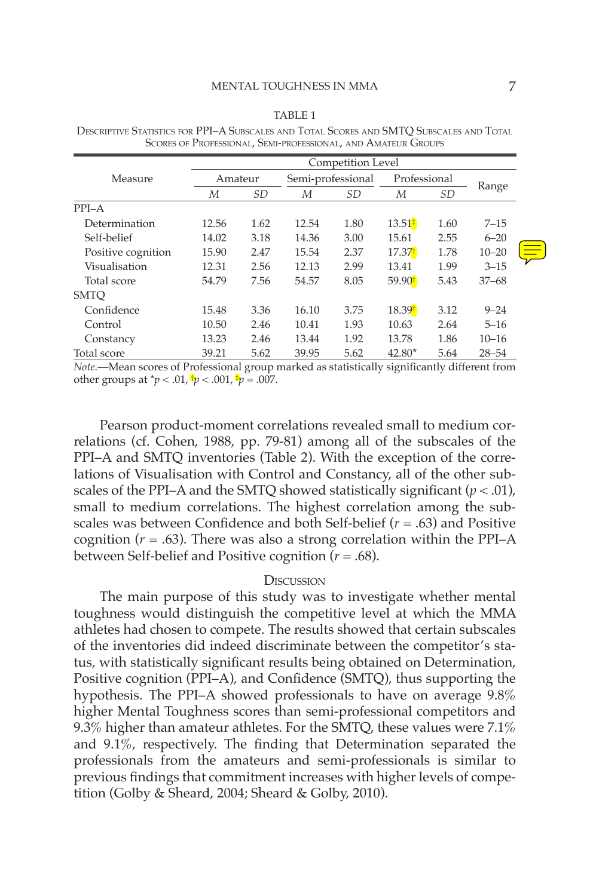|--|--|

|                    |       | Competition Level |       |                   |                    |              |           |  |
|--------------------|-------|-------------------|-------|-------------------|--------------------|--------------|-----------|--|
| Measure            |       | Amateur           |       | Semi-professional |                    | Professional |           |  |
|                    | М     | <i>SD</i>         | М     | <i>SD</i>         | М                  | SD           | Range     |  |
| $PPI-A$            |       |                   |       |                   |                    |              |           |  |
| Determination      | 12.56 | 1.62              | 12.54 | 1.80              | $13.51*$           | 1.60         | $7 - 15$  |  |
| Self-belief        | 14.02 | 3.18              | 14.36 | 3.00              | 15.61              | 2.55         | $6 - 20$  |  |
| Positive cognition | 15.90 | 2.47              | 15.54 | 2.37              | 17.37              | 1.78         | $10 - 20$ |  |
| Visualisation      | 12.31 | 2.56              | 12.13 | 2.99              | 13.41              | 1.99         | $3 - 15$  |  |
| Total score        | 54.79 | 7.56              | 54.57 | 8.05              | 59.90 <sup>†</sup> | 5.43         | $37 - 68$ |  |
| <b>SMTO</b>        |       |                   |       |                   |                    |              |           |  |
| Confidence         | 15.48 | 3.36              | 16.10 | 3.75              | 18.39 <sup>†</sup> | 3.12         | $9 - 24$  |  |
| Control            | 10.50 | 2.46              | 10.41 | 1.93              | 10.63              | 2.64         | $5 - 16$  |  |
| Constancy          | 13.23 | 2.46              | 13.44 | 1.92              | 13.78              | 1.86         | $10 - 16$ |  |
| Total score        | 39.21 | 5.62              | 39.95 | 5.62              | $42.80*$           | 5.64         | $28 - 54$ |  |

DESCRIPTIVE STATISTICS FOR PPI–A SUBSCALES AND TOTAL SCORES AND SMTQ SUBSCALES AND TOTAL SCORES OF PROFESSIONAL, SEMI-PROFESSIONAL, AND AMATEUR GROUPS

*Note.*—Mean scores of Professional group marked as statistically significantly different from other groups at  $\phi$  < .01,  $\phi$  < .001,  $\phi$  = .007.

Pearson product-moment correlations revealed small to medium correlations (cf. Cohen, 1988, pp. 79-81) among all of the subscales of the PPI–A and SMTQ inventories (Table 2). With the exception of the correlations of Visualisation with Control and Constancy, all of the other subscales of the PPI–A and the SMTQ showed statistically significant  $(p < .01)$ , small to medium correlations. The highest correlation among the subscales was between Confidence and both Self-belief  $(r = .63)$  and Positive cognition  $(r = .63)$ . There was also a strong correlation within the PPI–A between Self-belief and Positive cognition (*r* = .68).

### **DISCUSSION**

The main purpose of this study was to investigate whether mental toughness would distinguish the competitive level at which the MMA athletes had chosen to compete. The results showed that certain subscales of the inventories did indeed discriminate between the competitor's status, with statistically significant results being obtained on Determination, Positive cognition (PPI–A), and Confidence (SMTQ), thus supporting the hypothesis. The PPI–A showed professionals to have on average 9.8% higher Mental Toughness scores than semi-professional competitors and 9.3% higher than amateur athletes. For the SMTQ, these values were  $7.1\%$ and  $9.1\%$ , respectively. The finding that Determination separated the professionals from the amateurs and semi-professionals is similar to previous findings that commitment increases with higher levels of competition (Golby & Sheard, 2004; Sheard & Golby, 2010).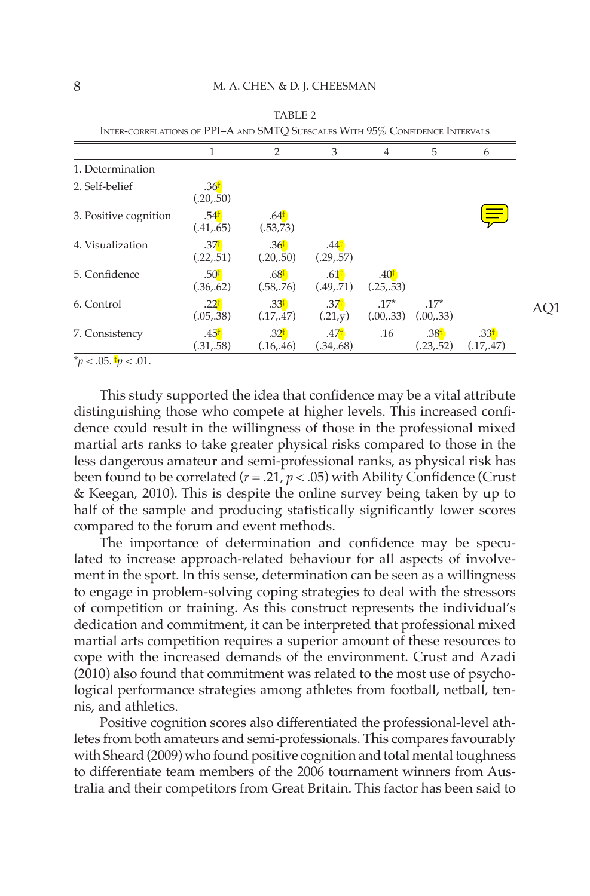|                       |                                | 2                              | 3                              | 4                             | 5                             | 6                             |
|-----------------------|--------------------------------|--------------------------------|--------------------------------|-------------------------------|-------------------------------|-------------------------------|
| 1. Determination      |                                |                                |                                |                               |                               |                               |
| 2. Self-belief        | .36 <sup>†</sup><br>(.20,.50)  |                                |                                |                               |                               |                               |
| 3. Positive cognition | .54 <sup>†</sup><br>(.41, .65) | .64 <sup>†</sup><br>(.53,73)   |                                |                               |                               |                               |
| 4. Visualization      | .371<br>(.22,.51)              | .36 <sup>†</sup><br>(.20,.50)  | .44 <sup>†</sup><br>(.29,.57)  |                               |                               |                               |
| 5. Confidence         | .50 <sup>†</sup><br>(.36, .62) | .68 <sup>†</sup><br>(.58, .76) | .61 <sup>†</sup><br>(.49, .71) | .40 <sup>†</sup><br>(.25,.53) |                               |                               |
| 6. Control            | .22 <sup>†</sup><br>(.05,.38)  | .33 <sup>†</sup><br>(.17,.47)  | .37 <sup>†</sup><br>(.21,y)    | $.17*$<br>(.00,.33)           | $.17*$<br>(.00,.33)           |                               |
| 7. Consistency        | .45 <sup>†</sup><br>(.31, .58) | .32 <sup>†</sup><br>(.16, .46) | .471<br>(.34, .68)             | .16                           | .38 <sup>†</sup><br>(.23,.52) | .33 <sup>†</sup><br>(.17,.47) |

TABLE 2 CORRELATIONS OF DDI $A$  AND SMTQ SUBSCALES  $M_{\text{ITTL}}$   $05\%$  Confidence Intervalses

 $**p* < .05.$  $\dagger *p* < .01.$ 

This study supported the idea that confidence may be a vital attribute distinguishing those who compete at higher levels. This increased confidence could result in the willingness of those in the professional mixed martial arts ranks to take greater physical risks compared to those in the less dangerous amateur and semi-professional ranks, as physical risk has been found to be correlated  $(r = .21, p < .05)$  with Ability Confidence (Crust & Keegan, 2010). This is despite the online survey being taken by up to half of the sample and producing statistically significantly lower scores compared to the forum and event methods.

The importance of determination and confidence may be speculated to increase approach-related behaviour for all aspects of involvement in the sport. In this sense, determination can be seen as a willingness to engage in problem-solving coping strategies to deal with the stressors of competition or training. As this construct represents the individual's dedication and commitment, it can be interpreted that professional mixed martial arts competition requires a superior amount of these resources to cope with the increased demands of the environment. Crust and Azadi (2010) also found that commitment was related to the most use of psychological performance strategies among athletes from football, netball, tennis, and athletics.

Positive cognition scores also differentiated the professional-level athletes from both amateurs and semi-professionals. This compares favourably with Sheard (2009) who found positive cognition and total mental toughness to differentiate team members of the 2006 tournament winners from Australia and their competitors from Great Britain. This factor has been said to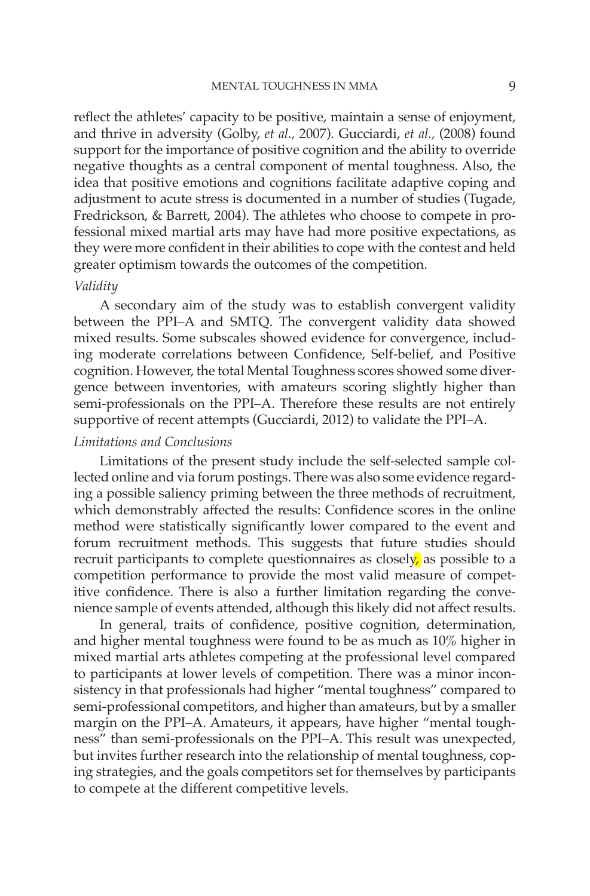reflect the athletes' capacity to be positive, maintain a sense of enjoyment, and thrive in adversity (Golby, *et al.,* 2007). Gucciardi, *et al.,* (2008) found support for the importance of positive cognition and the ability to override negative thoughts as a central component of mental toughness. Also, the idea that positive emotions and cognitions facilitate adaptive coping and adjustment to acute stress is documented in a number of studies (Tugade, Fredrickson, & Barrett, 2004). The athletes who choose to compete in professional mixed martial arts may have had more positive expectations, as they were more confident in their abilities to cope with the contest and held greater optimism towards the outcomes of the competition.

### *Validity*

A secondary aim of the study was to establish convergent validity between the PPI–A and SMTQ. The convergent validity data showed mixed results. Some subscales showed evidence for convergence, including moderate correlations between Confidence, Self-belief, and Positive cognition. However, the total Mental Toughness scores showed some divergence between inventories, with amateurs scoring slightly higher than semi-professionals on the PPI–A. Therefore these results are not entirely supportive of recent attempts (Gucciardi, 2012) to validate the PPI–A.

# *Limitations and Conclusions*

Limitations of the present study include the self-selected sample collected online and via forum postings. There was also some evidence regarding a possible saliency priming between the three methods of recruitment, which demonstrably affected the results: Confidence scores in the online method were statistically significantly lower compared to the event and forum recruitment methods. This suggests that future studies should recruit participants to complete questionnaires as closely, as possible to a competition performance to provide the most valid measure of competitive confidence. There is also a further limitation regarding the convenience sample of events attended, although this likely did not affect results.

In general, traits of confidence, positive cognition, determination, and higher mental toughness were found to be as much as 10% higher in mixed martial arts athletes competing at the professional level compared to participants at lower levels of competition. There was a minor inconsistency in that professionals had higher "mental toughness" compared to semi-professional competitors, and higher than amateurs, but by a smaller margin on the PPI–A. Amateurs, it appears, have higher "mental toughness" than semi-professionals on the PPI–A. This result was unexpected, but invites further research into the relationship of mental toughness, coping strategies, and the goals competitors set for themselves by participants to compete at the different competitive levels.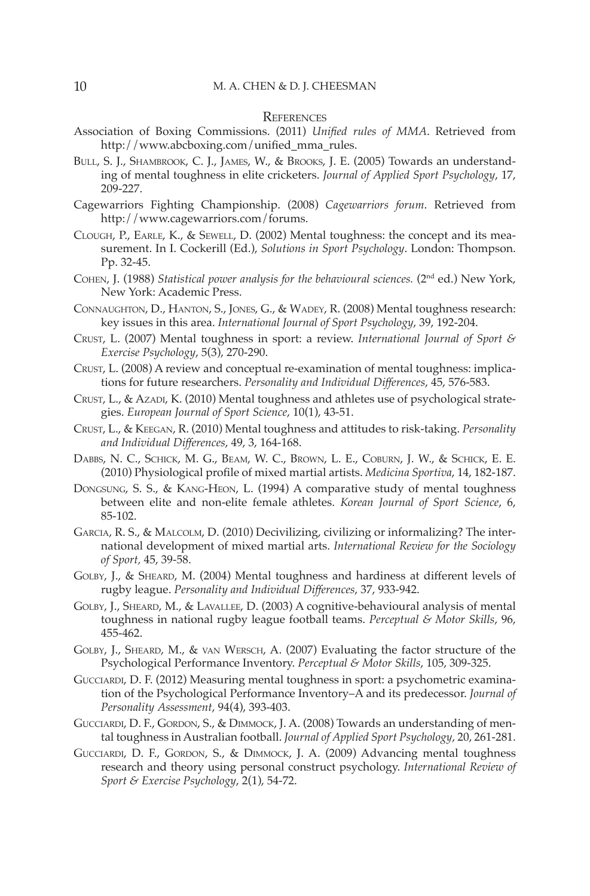### **REFERENCES**

- Association of Boxing Commissions. (2011) *Unified rules of MMA*. Retrieved from http://www.abcboxing.com/unified\_mma\_rules.
- BULL, S. J., SHAMBROOK, C. J., JAMES, W., & BROOKS, J. E. (2005) Towards an understanding of mental toughness in elite cricketers. *Journal of Applied Sport Psychology*, 17, 209-227.
- Cagewarriors Fighting Championship. (2008) *Cagewarriors forum*. Retrieved from http://www.cagewarriors.com/forums.
- CLOUGH, P., EARLE, K., & SEWELL, D. (2002) Mental toughness: the concept and its measurement. In I. Cockerill (Ed.), *Solutions in Sport Psychology*. London: Thompson. Pp. 32-45.
- COHEN, J. (1988) *Statistical power analysis for the behavioural sciences.* (2nd ed.) New York, New York: Academic Press.
- CONNAUGHTON, D., HANTON, S., JONES, G., & WADEY, R. (2008) Mental toughness research: key issues in this area. *International Journal of Sport Psychology*, 39, 192-204.
- CRUST, L. (2007) Mental toughness in sport: a review. *International Journal of Sport & Exercise Psychology*, 5(3), 270-290.
- CRUST, L. (2008) A review and conceptual re-examination of mental toughness: implications for future researchers. *Personality and Individual Diff erences*, 45, 576-583.
- CRUST, L., & AZADI, K. (2010) Mental toughness and athletes use of psychological strategies. *European Journal of Sport Science*, 10(1), 43-51.
- CRUST, L., & KEEGAN, R. (2010) Mental toughness and attitudes to risk-taking. *Personality and Individual Diff erences*, 49, 3, 164-168.
- DABBS, N. C., SCHICK, M. G., BEAM, W. C., BROWN, L. E., COBURN, J. W., & SCHICK, E. E. (2010) Physiological profile of mixed martial artists. *Medicina Sportiva*, 14, 182-187.
- DONGSUNG, S. S., & KANG-HEON, L. (1994) A comparative study of mental toughness between elite and non-elite female athletes. *Korean Journal of Sport Science*, 6, 85-102.
- GARCIA, R. S., & MALCOLM, D. (2010) Decivilizing, civilizing or informalizing? The international development of mixed martial arts. *International Review for the Sociology of Sport,* 45, 39-58.
- GOLBY, J., & SHEARD, M. (2004) Mental toughness and hardiness at different levels of rugby league. *Personality and Individual Diff erences*, 37, 933-942.
- GOLBY, J., SHEARD, M., & LAVALLEE, D. (2003) A cognitive-behavioural analysis of mental toughness in national rugby league football teams. *Perceptual & Motor Skills*, 96, 455-462.
- GOLBY, J., SHEARD, M., & VAN WERSCH, A. (2007) Evaluating the factor structure of the Psychological Performance Inventory. *Perceptual & Motor Skills*, 105, 309-325.
- GUCCIARDI, D. F. (2012) Measuring mental toughness in sport: a psychometric examination of the Psychological Performance Inventory–A and its predecessor. *Journal of Personality Assessment*, 94(4), 393-403.
- GUCCIARDI, D. F., GORDON, S., & DIMMOCK, J. A. (2008) Towards an understanding of mental toughness in Australian football. *Journal of Applied Sport Psychology*, 20, 261-281.
- GUCCIARDI, D. F., GORDON, S., & DIMMOCK, J. A. (2009) Advancing mental toughness research and theory using personal construct psychology. *International Review of Sport & Exercise Psychology*, 2(1), 54-72.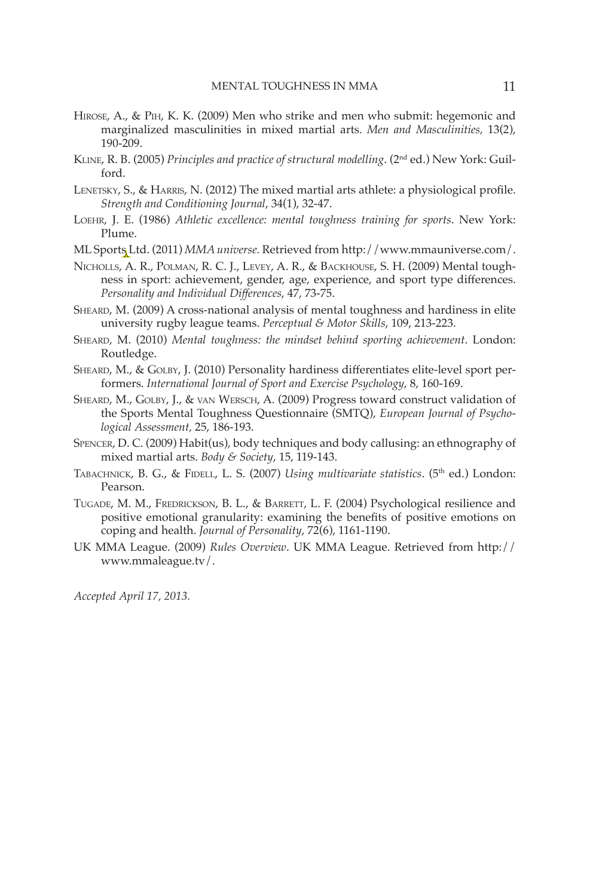- HIROSE, A., & PIH, K. K. (2009) Men who strike and men who submit: hegemonic and marginalized masculinities in mixed martial arts. *Men and Masculinities,* 13(2), 190-209.
- KLINE, R. B. (2005) *Principles and practice of structural modelling*. (2nd ed.) New York: Guilford.
- LENETSKY, S., & HARRIS, N. (2012) The mixed martial arts athlete: a physiological profile. *Strength and Conditioning Journal*, 34(1), 32-47.
- LOEHR, J. E. (1986) *Athletic excellence: mental toughness training for sports*. New York: Plume.
- ML Sports Ltd. (2011) *MMA universe.* Retrieved from http://www.mmauniverse.com/.
- NICHOLLS, A. R., POLMAN, R. C. J., LEVEY, A. R., & BACKHOUSE, S. H. (2009) Mental toughness in sport: achievement, gender, age, experience, and sport type differences. *Personality and Individual Diff erences*, 47, 73-75.
- SHEARD, M. (2009) A cross-national analysis of mental toughness and hardiness in elite university rugby league teams. *Perceptual & Motor Skills*, 109, 213-223.
- SHEARD, M. (2010) *Mental toughness: the mindset behind sporting achievement*. London: Routledge.
- SHEARD, M., & GOLBY, J. (2010) Personality hardiness differentiates elite-level sport performers. *International Journal of Sport and Exercise Psychology*, 8, 160-169.
- SHEARD, M., GOLBY, J., & VAN WERSCH, A. (2009) Progress toward construct validation of the Sports Mental Toughness Questionnaire (SMTQ), *European Journal of Psychological Assessment,* 25, 186-193.
- SPENCER, D. C. (2009) Habit(us), body techniques and body callusing: an ethnography of mixed martial arts. *Body & Society*, 15, 119-143.
- TABACHNICK, B. G., & FIDELL, L. S. (2007) *Using multivariate statistics*. (5<sup>th</sup> ed.) London: Pearson.
- TUGADE, M. M., FREDRICKSON, B. L., & BARRETT, L. F. (2004) Psychological resilience and positive emotional granularity: examining the benefits of positive emotions on coping and health. *Journal of Personality*, 72(6), 1161-1190.
- UK MMA League. (2009) *Rules Overview*. UK MMA League. Retrieved from http:// www.mmaleague.tv/.

*Accepted April 17, 2013.*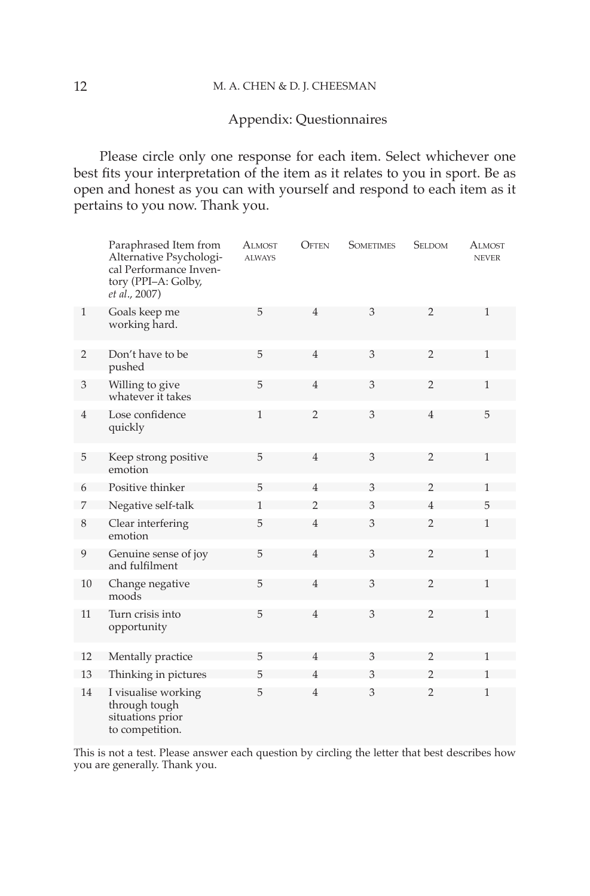## 12 M. A. CHEN & D. J. CHEESMAN

# Appendix: Questionnaires

Please circle only one response for each item. Select whichever one best fits your interpretation of the item as it relates to you in sport. Be as open and honest as you can with yourself and respond to each item as it pertains to you now. Thank you.

|                | Paraphrased Item from<br>Alternative Psychologi-<br>cal Performance Inven-<br>tory (PPI-A: Golby,<br>et al., 2007) | Almost<br><b>ALWAYS</b> | <b>OFTEN</b>   | <b>SOMETIMES</b> | <b>SELDOM</b>  | <b>ALMOST</b><br><b>NEVER</b> |
|----------------|--------------------------------------------------------------------------------------------------------------------|-------------------------|----------------|------------------|----------------|-------------------------------|
| $\mathbf{1}$   | Goals keep me<br>working hard.                                                                                     | 5                       | $\overline{4}$ | 3                | $\overline{2}$ | $\mathbf{1}$                  |
| $\overline{2}$ | Don't have to be<br>pushed                                                                                         | 5                       | $\overline{4}$ | 3                | $\overline{2}$ | $\mathbf{1}$                  |
| 3              | Willing to give<br>whatever it takes                                                                               | 5                       | $\overline{4}$ | 3                | $\overline{2}$ | $\mathbf{1}$                  |
| $\overline{4}$ | Lose confidence<br>quickly                                                                                         | $\mathbf{1}$            | $\overline{2}$ | 3                | $\overline{4}$ | 5                             |
| 5              | Keep strong positive<br>emotion                                                                                    | 5                       | $\overline{4}$ | 3                | $\overline{2}$ | $\mathbf{1}$                  |
| 6              | Positive thinker                                                                                                   | 5                       | $\overline{4}$ | 3                | $\mathfrak{D}$ | $\mathbf{1}$                  |
| 7              | Negative self-talk                                                                                                 | 1                       | $\overline{2}$ | 3                | $\overline{4}$ | 5                             |
| 8              | Clear interfering<br>emotion                                                                                       | 5                       | $\overline{4}$ | 3                | $\overline{2}$ | $\mathbf{1}$                  |
| 9              | Genuine sense of joy<br>and fulfilment                                                                             | 5                       | $\overline{4}$ | 3                | $\overline{2}$ | $\mathbf{1}$                  |
| 10             | Change negative<br>moods                                                                                           | 5                       | $\overline{4}$ | 3                | $\overline{2}$ | $\mathbf{1}$                  |
| 11             | Turn crisis into<br>opportunity                                                                                    | 5                       | $\overline{4}$ | 3                | $\overline{2}$ | $\mathbf{1}$                  |
| 12             | Mentally practice                                                                                                  | 5                       | $\overline{4}$ | 3                | $\mathfrak{D}$ |                               |
| 13             | Thinking in pictures                                                                                               | 5                       | 4              | 3                | $\overline{2}$ | 1                             |
| 14             | I visualise working<br>through tough<br>situations prior<br>to competition.                                        | 5                       | $\overline{4}$ | 3                | $\overline{2}$ | $\mathbf{1}$                  |

This is not a test. Please answer each question by circling the letter that best describes how you are generally. Thank you.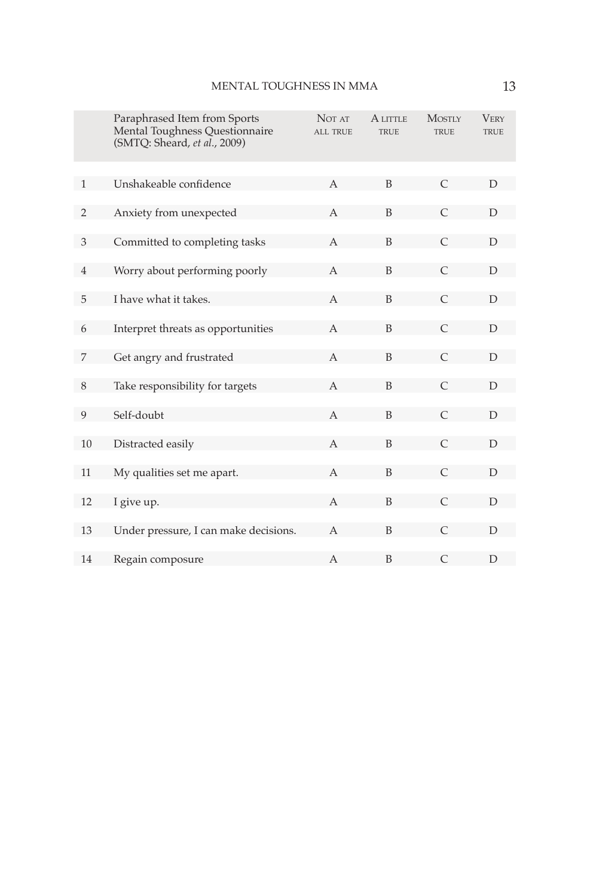|                | Paraphrased Item from Sports<br>Mental Toughness Questionnaire<br>(SMTQ: Sheard, et al., 2009) | NOT AT<br><b>ALL TRUE</b> | A LITTLE<br><b>TRUE</b> | <b>MOSTLY</b><br><b>TRUE</b> | <b>VERY</b><br><b>TRUE</b> |
|----------------|------------------------------------------------------------------------------------------------|---------------------------|-------------------------|------------------------------|----------------------------|
| $\mathbf{1}$   | Unshakeable confidence                                                                         | $\mathsf{A}$              | B                       | $\mathcal{C}$                | D                          |
|                |                                                                                                |                           |                         |                              |                            |
| 2              | Anxiety from unexpected                                                                        | $\overline{A}$            | B                       | $\mathcal{C}$                | D                          |
| 3              | Committed to completing tasks                                                                  | A                         | B                       | $\mathcal{C}$                | D                          |
| $\overline{4}$ | Worry about performing poorly                                                                  | A                         | B                       | $\mathcal{C}$                | D                          |
| 5              | I have what it takes.                                                                          | A                         | B                       | $\subset$                    | D                          |
| 6              | Interpret threats as opportunities                                                             | А                         | B                       | $\mathcal{C}$                | D                          |
| 7              | Get angry and frustrated                                                                       | $\mathbf{A}$              | B                       | $\mathcal{C}$                | D                          |
| 8              | Take responsibility for targets                                                                | $\overline{A}$            | B                       | $\subset$                    | D                          |
| 9              | Self-doubt                                                                                     | A                         | B                       | $\mathcal{C}$                | D                          |
| 10             | Distracted easily                                                                              | $\overline{A}$            | B                       | $\mathcal{C}$                | $\mathsf{D}$               |
| 11             | My qualities set me apart.                                                                     | A                         | B                       | $\subset$                    | D                          |
| 12             | I give up.                                                                                     | A                         | B                       | $\mathcal{C}$                | D                          |
| 13             | Under pressure, I can make decisions.                                                          | $\mathsf{A}$              | B                       | C                            | D                          |
| 14             | Regain composure                                                                               | А                         | B                       | $\mathsf{C}$                 | D                          |